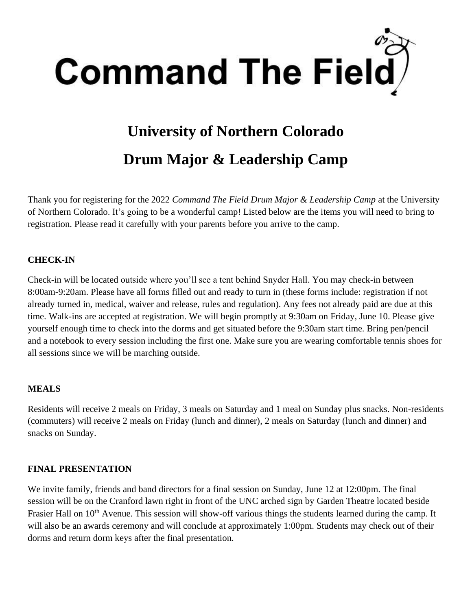

# **University of Northern Colorado Drum Major & Leadership Camp**

Thank you for registering for the 2022 *Command The Field Drum Major & Leadership Camp* at the University of Northern Colorado. It's going to be a wonderful camp! Listed below are the items you will need to bring to registration. Please read it carefully with your parents before you arrive to the camp.

### **CHECK-IN**

Check-in will be located outside where you'll see a tent behind Snyder Hall. You may check-in between 8:00am-9:20am. Please have all forms filled out and ready to turn in (these forms include: registration if not already turned in, medical, waiver and release, rules and regulation). Any fees not already paid are due at this time. Walk-ins are accepted at registration. We will begin promptly at 9:30am on Friday, June 10. Please give yourself enough time to check into the dorms and get situated before the 9:30am start time. Bring pen/pencil and a notebook to every session including the first one. Make sure you are wearing comfortable tennis shoes for all sessions since we will be marching outside.

### **MEALS**

Residents will receive 2 meals on Friday, 3 meals on Saturday and 1 meal on Sunday plus snacks. Non-residents (commuters) will receive 2 meals on Friday (lunch and dinner), 2 meals on Saturday (lunch and dinner) and snacks on Sunday.

### **FINAL PRESENTATION**

We invite family, friends and band directors for a final session on Sunday, June 12 at 12:00pm. The final session will be on the Cranford lawn right in front of the UNC arched sign by Garden Theatre located beside Frasier Hall on 10<sup>th</sup> Avenue. This session will show-off various things the students learned during the camp. It will also be an awards ceremony and will conclude at approximately 1:00pm. Students may check out of their dorms and return dorm keys after the final presentation.